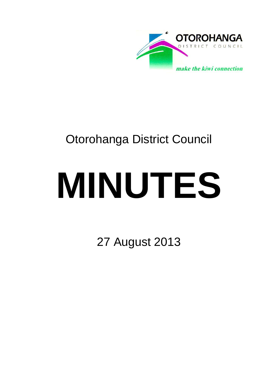

# Otorohanga District Council

# **MINUTES**

27 August 2013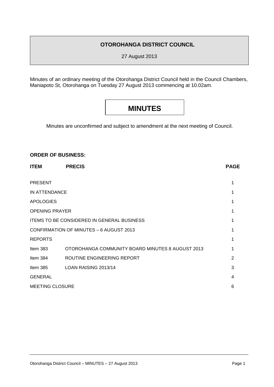## **OTOROHANGA DISTRICT COUNCIL**

27 August 2013

Minutes of an ordinary meeting of the Otorohanga District Council held in the Council Chambers, Maniapoto St, Otorohanga on Tuesday 27 August 2013 commencing at 10.02am.

# **MINUTES**

Minutes are unconfirmed and subject to amendment at the next meeting of Council.

#### **ORDER OF BUSINESS:**

| <b>ITEM</b>                                       | <b>PRECIS</b>                                    | <b>PAGE</b> |
|---------------------------------------------------|--------------------------------------------------|-------------|
| <b>PRESENT</b>                                    |                                                  | 1           |
| IN ATTENDANCE                                     |                                                  |             |
| <b>APOLOGIES</b>                                  |                                                  |             |
| <b>OPENING PRAYER</b>                             |                                                  |             |
| <b>ITEMS TO BE CONSIDERED IN GENERAL BUSINESS</b> |                                                  |             |
| <b>CONFIRMATION OF MINUTES - 6 AUGUST 2013</b>    |                                                  |             |
| <b>REPORTS</b>                                    |                                                  |             |
| Item $383$                                        | OTOROHANGA COMMUNITY BOARD MINUTES 8 AUGUST 2013 |             |
| Item 384                                          | ROUTINE ENGINEERING REPORT                       | 2           |
| Item $385$                                        | LOAN RAISING 2013/14                             | 3           |
| <b>GENERAL</b>                                    |                                                  | 4           |
| <b>MEETING CLOSURE</b>                            |                                                  | 6           |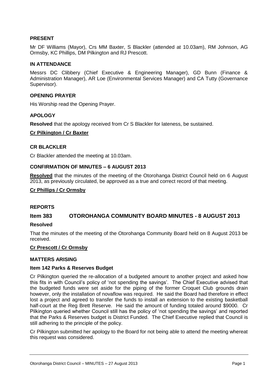#### **PRESENT**

Mr DF Williams (Mayor), Crs MM Baxter, S Blackler (attended at 10.03am), RM Johnson, AG Ormsby, KC Phillips, DM Pilkington and RJ Prescott.

#### **IN ATTENDANCE**

Messrs DC Clibbery (Chief Executive & Engineering Manager), GD Bunn (Finance & Administration Manager), AR Loe (Environmental Services Manager) and CA Tutty (Governance Supervisor).

#### **OPENING PRAYER**

His Worship read the Opening Prayer.

#### **APOLOGY**

**Resolved** that the apology received from Cr S Blackler for lateness, be sustained.

#### **Cr Pilkington / Cr Baxter**

#### **CR BLACKLER**

Cr Blackler attended the meeting at 10.03am.

#### **CONFIRMATION OF MINUTES – 6 AUGUST 2013**

**Resolved** that the minutes of the meeting of the Otorohanga District Council held on 6 August 2013, as previously circulated, be approved as a true and correct record of that meeting.

#### **Cr Phillips / Cr Ormsby**

#### **REPORTS**

#### **Item 383 OTOROHANGA COMMUNITY BOARD MINUTES - 8 AUGUST 2013**

#### **Resolved**

That the minutes of the meeting of the Otorohanga Community Board held on 8 August 2013 be received.

#### **Cr Prescott / Cr Ormsby**

#### **MATTERS ARISING**

#### **Item 142 Parks & Reserves Budget**

Cr Pilkington queried the re-allocation of a budgeted amount to another project and asked how this fits in with Council's policy of 'not spending the savings'. The Chief Executive advised that the budgeted funds were set aside for the piping of the former Croquet Club grounds drain however, only the installation of novaflow was required. He said the Board had therefore in effect lost a project and agreed to transfer the funds to install an extension to the existing basketball half-court at the Reg Brett Reserve. He said the amount of funding totaled around \$9000. Cr Pilkington queried whether Council still has the policy of 'not spending the savings' and reported that the Parks & Reserves budget is District Funded. The Chief Executive replied that Council is still adhering to the principle of the policy.

Cr Pilkington submitted her apology to the Board for not being able to attend the meeting whereat this request was considered.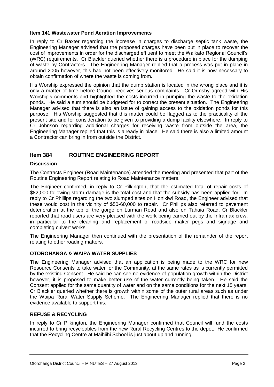#### **Item 141 Wastewater Pond Aeration Improvements**

In reply to Cr Baxter regarding the increase in charges to discharge septic tank waste, the Engineering Manager advised that the proposed charges have been put in place to recover the cost of improvements in order for the discharged effluent to meet the Waikato Regional Council's (WRC) requirements. Cr Blackler queried whether there is a procedure in place for the dumping of waste by Contractors. The Engineering Manager replied that a process was put in place in around 2005 however, this had not been effectively monitored. He said it is now necessary to obtain confirmation of where the waste is coming from.

His Worship expressed the opinion that the dump station is located in the wrong place and it is only a matter of time before Council receives serious complaints. Cr Ormsby agreed with His Worship's comments and highlighted the costs incurred in pumping the waste to the oxidation ponds. He said a sum should be budgeted for to correct the present situation. The Engineering Manager advised that there is also an issue of gaining access to the oxidation ponds for this purpose. His Worship suggested that this matter could be flagged as to the practicality of the present site and for consideration to be given to providing a dump facility elsewhere. In reply to Cr Johnson regarding additional charges for receiving waste from outside the area, the Engineering Manager replied that this is already in place. He said there is also a limited amount a Contractor can bring in from outside the District.

#### **Item 384 ROUTINE ENGINEERING REPORT**

#### **Discussion**

The Contracts Engineer (Road Maintenance) attended the meeting and presented that part of the Routine Engineering Report relating to Road Maintenance matters.

The Engineer confirmed, in reply to Cr Pilkington, that the estimated total of repair costs of \$82,000 following storm damage is the total cost and that the subsidy has been applied for. In reply to Cr Phillips regarding the two slumped sites on Honikiwi Road, the Engineer advised that these would cost in the vicinity of \$50-60,000 to repair. Cr Phillips also referred to pavement deterioration at the top of the gorge on Lurman Road and also on Tahaia Road. Cr Blackler reported that road users are very pleased with the work being carried out by the Inframax crew, in particular to the cleaning and replacement of roadside maker pegs and signage and completing culvert works.

The Engineering Manager then continued with the presentation of the remainder of the report relating to other roading matters.

#### **OTOROHANGA & WAIPA WATER SUPPLIES**

The Engineering Manager advised that an application is being made to the WRC for new Resource Consents to take water for the Community, at the same rates as is currently permitted by the existing Consent. He said he can see no evidence of population growth within the District however, it is proposed to make better use of the water currently being taken. He said the Consent applied for the same quantity of water and on the same conditions for the next 15 years. Cr Blackler queried whether there is growth within some of the outer rural areas such as under the Waipa Rural Water Supply Scheme. The Engineering Manager replied that there is no evidence available to support this.

#### **REFUSE & RECYCLING**

In reply to Cr Pilkington, the Engineering Manager confirmed that Council will fund the costs incurred to bring recycleables from the new Rural Recycling Centres to the depot. He confirmed that the Recycling Centre at Maihiihi School is just about up and running.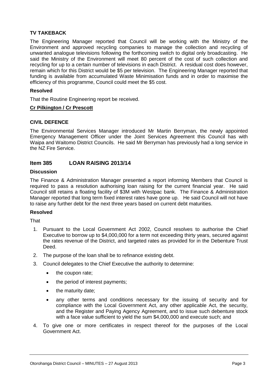#### **TV TAKEBACK**

The Engineering Manager reported that Council will be working with the Ministry of the Environment and approved recycling companies to manage the collection and recycling of unwanted analogue televisions following the forthcoming switch to digital only broadcasting. He said the Ministry of the Environment will meet 80 percent of the cost of such collection and recycling for up to a certain number of televisions in each District. A residual cost does however, remain which for this District would be \$5 per television. The Engineering Manager reported that funding is available from accumulated Waste Minimisation funds and in order to maximise the efficiency of this programme, Council could meet the \$5 cost.

#### **Resolved**

That the Routine Engineering report be received.

#### **Cr Pilkington / Cr Prescott**

#### **CIVIL DEFENCE**

The Environmental Services Manager introduced Mr Martin Berryman, the newly appointed Emergency Management Officer under the Joint Services Agreement this Council has with Waipa and Waitomo District Councils. He said Mr Berryman has previously had a long service in the NZ Fire Service.

#### **Item 385 LOAN RAISING 2013/14**

#### **Discussion**

The Finance & Administration Manager presented a report informing Members that Council is required to pass a resolution authorising loan raising for the current financial year. He said Council still retains a floating facility of \$3M with Westpac bank. The Finance & Administration Manager reported that long term fixed interest rates have gone up. He said Council will not have to raise any further debt for the next three years based on current debt maturities.

#### **Resolved**

That

- 1. Pursuant to the Local Government Act 2002, Council resolves to authorise the Chief Executive to borrow up to \$4,000,000 for a term not exceeding thirty years, secured against the rates revenue of the District, and targeted rates as provided for in the Debenture Trust Deed.
- 2. The purpose of the loan shall be to refinance existing debt.
- 3. Council delegates to the Chief Executive the authority to determine:
	- the coupon rate;
	- the period of interest payments;
	- the maturity date;
	- any other terms and conditions necessary for the issuing of security and for compliance with the Local Government Act, any other applicable Act, the security, and the Register and Paying Agency Agreement, and to issue such debenture stock with a face value sufficient to yield the sum \$4,000,000 and execute such; and
- 4. To give one or more certificates in respect thereof for the purposes of the Local Government Act.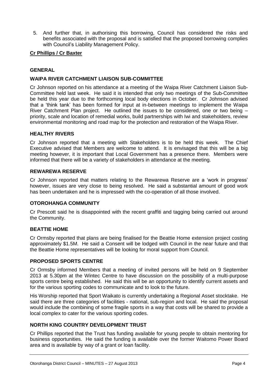5. And further that, in authorising this borrowing, Council has considered the risks and benefits associated with the proposal and is satisfied that the proposed borrowing complies with Council's Liability Management Policy.

#### **Cr Phillips / Cr Baxter**

#### **GENERAL**

#### **WAIPA RIVER CATCHMENT LIAISON SUB-COMMITTEE**

Cr Johnson reported on his attendance at a meeting of the Waipa River Catchment Liaison Sub-Committee held last week. He said it is intended that only two meetings of the Sub-Committee be held this year due to the forthcoming local body elections in October. Cr Johnson advised that a 'think tank' has been formed for input at in-between meetings to implement the Waipa River Catchment Plan project. He outlined the issues to be considered, one or two being – priority, scale and location of remedial works, build partnerships with Iwi and stakeholders, review environmental monitoring and road map for the protection and restoration of the Waipa River.

#### **HEALTHY RIVERS**

Cr Johnson reported that a meeting with Stakeholders is to be held this week. The Chief Executive advised that Members are welcome to attend. It is envisaged that this will be a big meeting however, it is important that Local Government has a presence there. Members were informed that there will be a variety of stakeholders in attendance at the meeting.

#### **REWAREWA RESERVE**

Cr Johnson reported that matters relating to the Rewarewa Reserve are a 'work in progress' however, issues are very close to being resolved. He said a substantial amount of good work has been undertaken and he is impressed with the co-operation of all those involved.

#### **OTOROHANGA COMMUNITY**

Cr Prescott said he is disappointed with the recent graffiti and tagging being carried out around the Community.

#### **BEATTIE HOME**

Cr Ormsby reported that plans are being finalised for the Beattie Home extension project costing approximately \$1.5M. He said a Consent will be lodged with Council in the near future and that the Beattie Home representatives will be looking for moral support from Council.

#### **PROPOSED SPORTS CENTRE**

Cr Ormsby informed Members that a meeting of invited persons will be held on 9 September 2013 at 5.30pm at the Wintec Centre to have discussion on the possibility of a multi-purpose sports centre being established. He said this will be an opportunity to identify current assets and for the various sporting codes to communicate and to look to the future.

His Worship reported that Sport Waikato is currently undertaking a Regional Asset stocktake. He said there are three categories of facilities - national, sub-region and local. He said the proposal would include the combining of some fragile sports in a way that costs will be shared to provide a local complex to cater for the various sporting codes.

#### **NORTH KING COUNTRY DEVELOPMENT TRUST**

Cr Phillips reported that the Trust has funding available for young people to obtain mentoring for business opportunities. He said the funding is available over the former Waitomo Power Board area and is available by way of a grant or loan facility.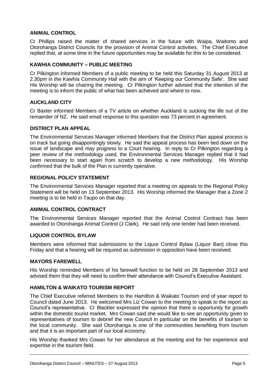#### **ANIMAL CONTROL**

Cr Phillips raised the matter of shared services in the future with Waipa, Waitomo and Otorohanga District Councils for the provision of Animal Control activities. The Chief Executive replied that, at some time in the future opportunities may be available for this to be considered.

#### **KAWHIA COMMUNITY – PUBLIC MEETING**

Cr Pilkington informed Members of a public meeting to be held this Saturday 31 August 2013 at 2.30pm in the Kawhia Community Hall with the aim of 'Keeping our Community Safe'. She said His Worship will be chairing the meeting. Cr Pilkington further advised that the intention of the meeting is to inform the public of what has been achieved and where to now.

#### **AUCKLAND CITY**

Cr Baxter informed Members of a TV article on whether Auckland is sucking the life out of the remainder of NZ. He said email response to this question was 73 percent in agreement.

#### **DISTRICT PLAN APPEAL**

The Environmental Services Manager informed Members that the District Plan appeal process is on track but going disappointingly slowly. He said the appeal process has been tied down on the issue of landscape and may progress to a Court hearing. In reply to Cr Pilkington regarding a peer review of the methodology used, the Environmental Services Manager replied that it had been necessary to start again from scratch to develop a new methodology. His Worship confirmed that the bulk of the Plan is currently operative.

#### **REGIONAL POLICY STATEMENT**

The Environmental Services Manager reported that a meeting on appeals to the Regional Policy Statement will be held on 13 September 2013. His Worship informed the Manager that a Zone 2 meeting is to be held in Taupo on that day.

#### **ANIMAL CONTROL CONTRACT**

The Environmental Services Manager reported that the Animal Control Contract has been awarded to Otorohanga Animal Control (J Clark). He said only one tender had been received.

#### **LIQUOR CONTROL BYLAW**

Members were informed that submissions to the Liquor Control Bylaw (Liquor Ban) close this Friday and that a hearing will be required as submission in opposition have been received.

#### **MAYORS FAREWELL**

His Worship reminded Members of his farewell function to be held on 28 September 2013 and advised them that they will need to confirm their attendance with Council's Executive Assistant.

#### **HAMILTON & WAIKATO TOURISM REPORT**

The Chief Executive referred Members to the Hamilton & Waikato Tourism end of year report to Council dated June 2013. He welcomed Mrs Liz Cowan to the meeting to speak to the report as Council's representative. Cr Blackler expressed the opinion that there is opportunity for growth within the domestic tourist market. Mrs Cowan said she would like to see an opportunity given to representatives of tourism to debrief the new Council in particular on the benefits of tourism to the local community. She said Otorohanga is one of the communities benefiting from tourism and that it is an important part of our local economy.

His Worship thanked Mrs Cowan for her attendance at the meeting and for her experience and expertise in the tourism field.